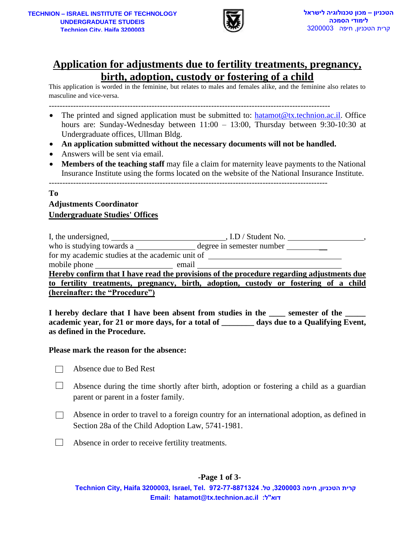

# **Application for adjustments due to fertility treatments, pregnancy, birth, adoption, custody or fostering of a child**

- The printed and signed application must be submitted to: [hatamot@tx.technion.ac.il.](mailto:hatamot@tx.technion.ac.il) Office hours are: Sunday-Wednesday between 11:00 – 13:00, Thursday between 9:30-10:30 at Undergraduate offices, Ullman Bldg.
- **An application submitted without the necessary documents will not be handled.**
- Answers will be sent via email.
- **Members of the teaching staff** may file a claim for maternity leave payments to the National Insurance Institute using the forms located on the website of the National Insurance Institute.

## **To Adjustments Coordinator Undergraduate Studies' Offices**

|                                                  | <u>IION – ISRAEL INSTITUTE OF TECHNOLOGY</u><br><b>UNDERGRADUATE STUDEIS</b><br>Technion City. Haifa 3200003                                                                                                                                                                                                                                                                                                                                                                                                                                 |                  | טכניון – מכון טכנולוגיה לישראל<br>לימודי הסמכה<br>קרית הטכניון, חיפה 3200003 |  |  |
|--------------------------------------------------|----------------------------------------------------------------------------------------------------------------------------------------------------------------------------------------------------------------------------------------------------------------------------------------------------------------------------------------------------------------------------------------------------------------------------------------------------------------------------------------------------------------------------------------------|------------------|------------------------------------------------------------------------------|--|--|
|                                                  | <u>Application for adjustments due to fertility treatments, pregnancy,</u><br>birth, adoption, custody or fostering of a child<br>This application is worded in the feminine, but relates to males and females alike, and the feminine also relates to<br>masculine and vice-versa.                                                                                                                                                                                                                                                          |                  |                                                                              |  |  |
| $\bullet$<br>$\bullet$<br>$\bullet$<br>$\bullet$ | The printed and signed application must be submitted to: hatamot@tx.technion.ac.il. Office<br>hours are: Sunday-Wednesday between 11:00 - 13:00, Thursday between 9:30-10:30 at<br>Undergraduate offices, Ullman Bldg.<br>An application submitted without the necessary documents will not be handled.<br>Answers will be sent via email.<br>Members of the teaching staff may file a claim for maternity leave payments to the National<br>Insurance Institute using the forms located on the website of the National Insurance Institute. |                  |                                                                              |  |  |
| Tо                                               | <b>Adjustments Coordinator</b><br><b>Undergraduate Studies' Offices</b>                                                                                                                                                                                                                                                                                                                                                                                                                                                                      |                  |                                                                              |  |  |
|                                                  | for my academic studies at the academic unit of ________________________________<br>mobile phone email<br>Hereby confirm that I have read the provisions of the procedure regarding adjustments due<br>to fertility treatments, pregnancy, birth, adoption, custody or fostering of a child<br>(hereinafter: the "Procedure")<br>I hereby declare that I have been absent from studies in the<br>academic year, for 21 or more days, for a total of _______ days due to a Qualifying Event,<br>as defined in the Procedure.                  |                  | semester of the                                                              |  |  |
|                                                  | Please mark the reason for the absence:                                                                                                                                                                                                                                                                                                                                                                                                                                                                                                      |                  |                                                                              |  |  |
|                                                  | Absence due to Bed Rest                                                                                                                                                                                                                                                                                                                                                                                                                                                                                                                      |                  |                                                                              |  |  |
|                                                  | Absence during the time shortly after birth, adoption or fostering a child as a guardian<br>parent or parent in a foster family.                                                                                                                                                                                                                                                                                                                                                                                                             |                  |                                                                              |  |  |
|                                                  | Absence in order to travel to a foreign country for an international adoption, as defined in<br>Section 28a of the Child Adoption Law, 5741-1981.                                                                                                                                                                                                                                                                                                                                                                                            |                  |                                                                              |  |  |
|                                                  | Absence in order to receive fertility treatments.                                                                                                                                                                                                                                                                                                                                                                                                                                                                                            |                  |                                                                              |  |  |
|                                                  | Technion City, Haifa 3200003, Israel, Tel. 972-77-8871324 ,טל. 200003, Technion City, Haifa 3200003, Israel, Te<br>Email: hatamot@tx.technion.ac.il :דוא"ל:                                                                                                                                                                                                                                                                                                                                                                                  | -Page 1 of $3$ - |                                                                              |  |  |

## **Please mark the reason for the absence:**

- $\Box$ Absence due to Bed Rest
- $\Box$ Absence during the time shortly after birth, adoption or fostering a child as a guardian parent or parent in a foster family.
- $\Box$ Absence in order to travel to a foreign country for an international adoption, as defined in Section 28a of the Child Adoption Law, 5741-1981.
- $\Box$ Absence in order to receive fertility treatments.

## **-Page 1 of 3-**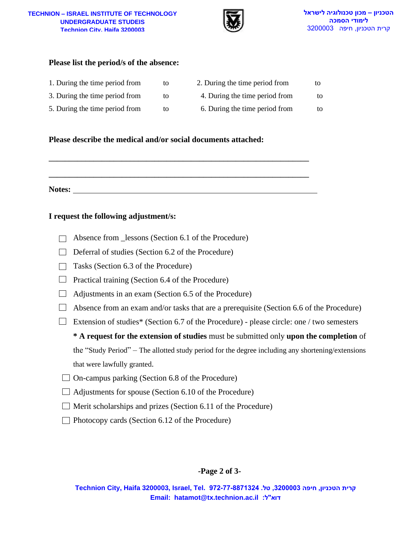#### **TECHNION – ISRAEL INSTITUTE OF TECHNOLOGY TECHNION – ISRAEL INSTITUTE OF TECHNOLOGY UNDERGRADUATE STUDEIS Technion City, Haifa 32000 Technion City, Haifa 3200003**



### **Please list the period/s of the absence:**

| 1. During the time period from | to | 2. During the time period from | to |
|--------------------------------|----|--------------------------------|----|
| 3. During the time period from | to | 4. During the time period from | to |
| 5. During the time period from | to | 6. During the time period from | tΩ |

#### **Please describe the medical and/or social documents attached:**

 $\mathcal{L} = \{ \mathcal{L} \mid \mathcal{L} \in \mathcal{L} \}$ **Notes:** 

 $\mathcal{L} = \{ \mathcal{L} \mid \mathcal{L} \in \mathcal{L} \}$ 

#### **I request the following adjustment/s:**

- $\Box$  Absence from Lessons (Section 6.1 of the Procedure)
- $\Box$  Deferral of studies (Section 6.2 of the Procedure)
- $\Box$  Tasks (Section 6.3 of the Procedure)
- $\Box$  Practical training (Section 6.4 of the Procedure)
- $\Box$  Adjustments in an exam (Section 6.5 of the Procedure)
- $\Box$  Absence from an exam and/or tasks that are a prerequisite (Section 6.6 of the Procedure)
- Extension of studies\* (Section 6.7 of the Procedure) please circle: one / two semesters

**EMBED 2016087**<br> **Example 2016082**<br> **Example 2016082**<br> **Example 2016082**<br> **Example 2016082**<br> **Example 20161**<br> **Example 20161**<br> **Example 20161**<br> **Example 20161**<br> **Example 20161**<br> **Example 20161**<br> **Example 20161**<br> **Example \* A request for the extension of studies** must be submitted only **upon the completion** of the "Study Period" – The allotted study period for the degree including any shortening/extensions that were lawfully granted.

- $\Box$  On-campus parking (Section 6.8 of the Procedure)
- $\Box$  Adjustments for spouse (Section 6.10 of the Procedure)
- $\Box$  Merit scholarships and prizes (Section 6.11 of the Procedure)
- $\Box$  Photocopy cards (Section 6.12 of the Procedure)

## **-Page 2 of 3-**

**Technion City, Haifa 3200003, Israel, Tel. 972-77-8871324 .טל ,3200003 חיפה ,הטכניון קרית**